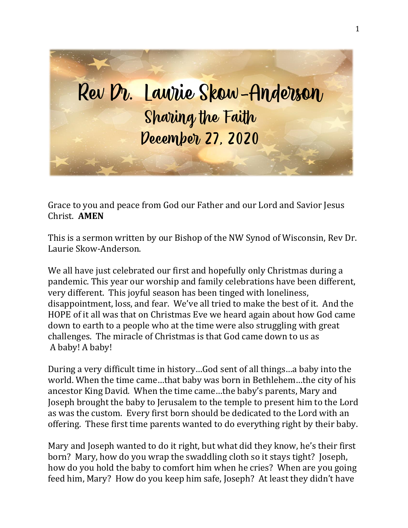

Grace to you and peace from God our Father and our Lord and Savior Jesus Christ. **AMEN**

This is a sermon written by our Bishop of the NW Synod of Wisconsin, Rev Dr. Laurie Skow-Anderson.

We all have just celebrated our first and hopefully only Christmas during a pandemic. This year our worship and family celebrations have been different, very different. This joyful season has been tinged with loneliness, disappointment, loss, and fear. We've all tried to make the best of it. And the HOPE of it all was that on Christmas Eve we heard again about how God came down to earth to a people who at the time were also struggling with great challenges. The miracle of Christmas is that God came down to us as A baby! A baby!

During a very difficult time in history…God sent of all things…a baby into the world. When the time came…that baby was born in Bethlehem…the city of his ancestor King David. When the time came…the baby's parents, Mary and Joseph brought the baby to Jerusalem to the temple to present him to the Lord as was the custom. Every first born should be dedicated to the Lord with an offering. These first time parents wanted to do everything right by their baby.

Mary and Joseph wanted to do it right, but what did they know, he's their first born? Mary, how do you wrap the swaddling cloth so it stays tight? Joseph, how do you hold the baby to comfort him when he cries? When are you going feed him, Mary? How do you keep him safe, Joseph? At least they didn't have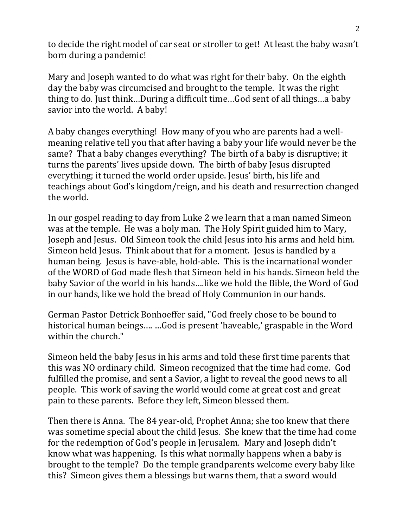to decide the right model of car seat or stroller to get! At least the baby wasn't born during a pandemic!

Mary and Joseph wanted to do what was right for their baby. On the eighth day the baby was circumcised and brought to the temple. It was the right thing to do. Just think…During a difficult time…God sent of all things…a baby savior into the world. A baby!

A baby changes everything! How many of you who are parents had a wellmeaning relative tell you that after having a baby your life would never be the same? That a baby changes everything? The birth of a baby is disruptive; it turns the parents' lives upside down. The birth of baby Jesus disrupted everything; it turned the world order upside. Jesus' birth, his life and teachings about God's kingdom/reign, and his death and resurrection changed the world.

In our gospel reading to day from Luke 2 we learn that a man named Simeon was at the temple. He was a holy man. The Holy Spirit guided him to Mary, Joseph and Jesus. Old Simeon took the child Jesus into his arms and held him. Simeon held Jesus. Think about that for a moment. Jesus is handled by a human being. Jesus is have-able, hold-able. This is the incarnational wonder of the WORD of God made flesh that Simeon held in his hands. Simeon held the baby Savior of the world in his hands….like we hold the Bible, the Word of God in our hands, like we hold the bread of Holy Communion in our hands.

German Pastor Detrick Bonhoeffer said, "God freely chose to be bound to historical human beings…. …God is present 'haveable,' graspable in the Word within the church."

Simeon held the baby Jesus in his arms and told these first time parents that this was NO ordinary child. Simeon recognized that the time had come. God fulfilled the promise, and sent a Savior, a light to reveal the good news to all people. This work of saving the world would come at great cost and great pain to these parents. Before they left, Simeon blessed them.

Then there is Anna. The 84 year-old, Prophet Anna; she too knew that there was sometime special about the child Jesus. She knew that the time had come for the redemption of God's people in Jerusalem. Mary and Joseph didn't know what was happening. Is this what normally happens when a baby is brought to the temple? Do the temple grandparents welcome every baby like this? Simeon gives them a blessings but warns them, that a sword would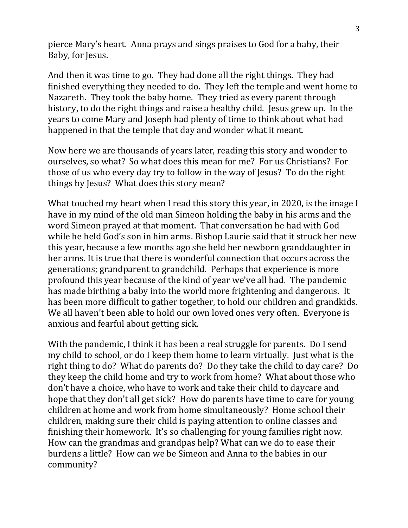pierce Mary's heart. Anna prays and sings praises to God for a baby, their Baby, for Jesus.

And then it was time to go. They had done all the right things. They had finished everything they needed to do. They left the temple and went home to Nazareth. They took the baby home. They tried as every parent through history, to do the right things and raise a healthy child. Jesus grew up. In the years to come Mary and Joseph had plenty of time to think about what had happened in that the temple that day and wonder what it meant.

Now here we are thousands of years later, reading this story and wonder to ourselves, so what? So what does this mean for me? For us Christians? For those of us who every day try to follow in the way of Jesus? To do the right things by Jesus? What does this story mean?

What touched my heart when I read this story this year, in 2020, is the image I have in my mind of the old man Simeon holding the baby in his arms and the word Simeon prayed at that moment. That conversation he had with God while he held God's son in him arms. Bishop Laurie said that it struck her new this year, because a few months ago she held her newborn granddaughter in her arms. It is true that there is wonderful connection that occurs across the generations; grandparent to grandchild. Perhaps that experience is more profound this year because of the kind of year we've all had. The pandemic has made birthing a baby into the world more frightening and dangerous. It has been more difficult to gather together, to hold our children and grandkids. We all haven't been able to hold our own loved ones very often. Everyone is anxious and fearful about getting sick.

With the pandemic, I think it has been a real struggle for parents. Do I send my child to school, or do I keep them home to learn virtually. Just what is the right thing to do? What do parents do? Do they take the child to day care? Do they keep the child home and try to work from home? What about those who don't have a choice, who have to work and take their child to daycare and hope that they don't all get sick? How do parents have time to care for young children at home and work from home simultaneously? Home school their children, making sure their child is paying attention to online classes and finishing their homework. It's so challenging for young families right now. How can the grandmas and grandpas help? What can we do to ease their burdens a little? How can we be Simeon and Anna to the babies in our community?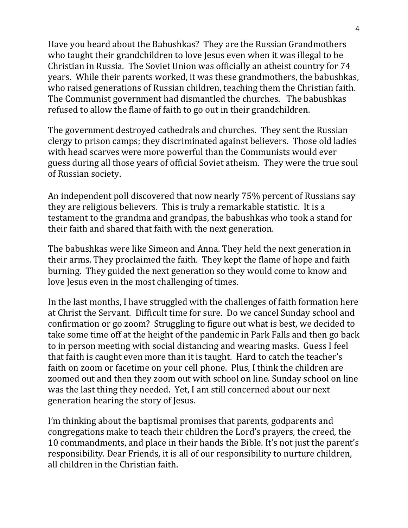Have you heard about the Babushkas? They are the Russian Grandmothers who taught their grandchildren to love Jesus even when it was illegal to be Christian in Russia. The Soviet Union was officially an atheist country for 74 years. While their parents worked, it was these grandmothers, the babushkas, who raised generations of Russian children, teaching them the Christian faith. The Communist government had dismantled the churches. The babushkas refused to allow the flame of faith to go out in their grandchildren.

The government destroyed cathedrals and churches. They sent the Russian clergy to prison camps; they discriminated against believers. Those old ladies with head scarves were more powerful than the Communists would ever guess during all those years of official Soviet atheism. They were the true soul of Russian society.

An independent poll discovered that now nearly 75% percent of Russians say they are religious believers. This is truly a remarkable statistic. It is a testament to the grandma and grandpas, the babushkas who took a stand for their faith and shared that faith with the next generation.

The babushkas were like Simeon and Anna. They held the next generation in their arms. They proclaimed the faith. They kept the flame of hope and faith burning. They guided the next generation so they would come to know and love Jesus even in the most challenging of times.

In the last months, I have struggled with the challenges of faith formation here at Christ the Servant. Difficult time for sure. Do we cancel Sunday school and confirmation or go zoom? Struggling to figure out what is best, we decided to take some time off at the height of the pandemic in Park Falls and then go back to in person meeting with social distancing and wearing masks. Guess I feel that faith is caught even more than it is taught. Hard to catch the teacher's faith on zoom or facetime on your cell phone. Plus, I think the children are zoomed out and then they zoom out with school on line. Sunday school on line was the last thing they needed. Yet, I am still concerned about our next generation hearing the story of Jesus.

I'm thinking about the baptismal promises that parents, godparents and congregations make to teach their children the Lord's prayers, the creed, the 10 commandments, and place in their hands the Bible. It's not just the parent's responsibility. Dear Friends, it is all of our responsibility to nurture children, all children in the Christian faith.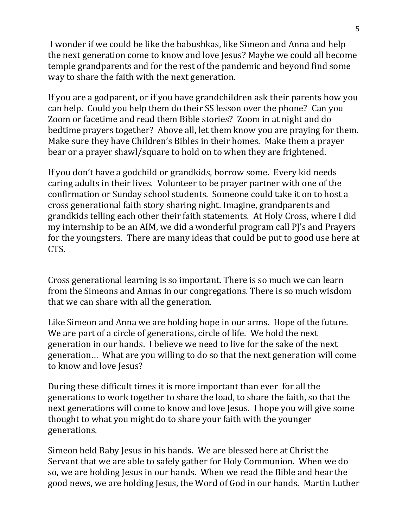I wonder if we could be like the babushkas, like Simeon and Anna and help the next generation come to know and love Jesus? Maybe we could all become temple grandparents and for the rest of the pandemic and beyond find some way to share the faith with the next generation.

If you are a godparent, or if you have grandchildren ask their parents how you can help. Could you help them do their SS lesson over the phone? Can you Zoom or facetime and read them Bible stories? Zoom in at night and do bedtime prayers together? Above all, let them know you are praying for them. Make sure they have Children's Bibles in their homes. Make them a prayer bear or a prayer shawl/square to hold on to when they are frightened.

If you don't have a godchild or grandkids, borrow some. Every kid needs caring adults in their lives. Volunteer to be prayer partner with one of the confirmation or Sunday school students. Someone could take it on to host a cross generational faith story sharing night. Imagine, grandparents and grandkids telling each other their faith statements. At Holy Cross, where I did my internship to be an AIM, we did a wonderful program call PJ's and Prayers for the youngsters. There are many ideas that could be put to good use here at CTS.

Cross generational learning is so important. There is so much we can learn from the Simeons and Annas in our congregations. There is so much wisdom that we can share with all the generation.

Like Simeon and Anna we are holding hope in our arms. Hope of the future. We are part of a circle of generations, circle of life. We hold the next generation in our hands. I believe we need to live for the sake of the next generation… What are you willing to do so that the next generation will come to know and love Jesus?

During these difficult times it is more important than ever for all the generations to work together to share the load, to share the faith, so that the next generations will come to know and love Jesus. I hope you will give some thought to what you might do to share your faith with the younger generations.

Simeon held Baby Jesus in his hands. We are blessed here at Christ the Servant that we are able to safely gather for Holy Communion. When we do so, we are holding Jesus in our hands. When we read the Bible and hear the good news, we are holding Jesus, the Word of God in our hands. Martin Luther